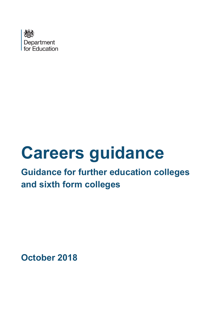

# **Careers guidance**

# **Guidance for further education colleges and sixth form colleges**

**October 2018**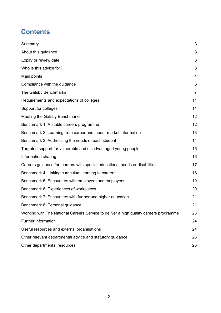# **Contents**

| Summary                                                                               | 3              |
|---------------------------------------------------------------------------------------|----------------|
| About this guidance                                                                   | 3              |
| Expiry or review date                                                                 | 3              |
| Who is this advice for?                                                               | 3              |
| Main points                                                                           | 4              |
| Compliance with the guidance                                                          | 6              |
| The Gatsby Benchmarks                                                                 | $\overline{7}$ |
| Requirements and expectations of colleges                                             | 11             |
| Support for colleges                                                                  | 11             |
| Meeting the Gatsby Benchmarks                                                         | 12             |
| Benchmark 1: A stable careers programme                                               | 12             |
| Benchmark 2: Learning from career and labour market information                       | 13             |
| Benchmark 3: Addressing the needs of each student                                     | 14             |
| Targeted support for vulnerable and disadvantaged young people                        | 15             |
| Information sharing                                                                   | 16             |
| Careers guidance for learners with special educational needs or disabilities          | 17             |
| Benchmark 4: Linking curriculum learning to careers                                   | 18             |
| Benchmark 5: Encounters with employers and employees                                  | 19             |
| Benchmark 6: Experiences of workplaces                                                | 20             |
| Benchmark 7: Encounters with further and higher education                             | 21             |
| Benchmark 8: Personal guidance                                                        | 21             |
| Working with The National Careers Service to deliver a high quality careers programme | 23             |
| <b>Further information</b>                                                            | 24             |
| Useful resources and external organisations                                           | 24             |
| Other relevant departmental advice and statutory guidance                             | 26             |
| Other departmental resources                                                          | 26             |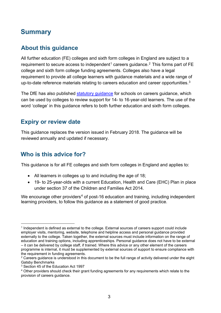### <span id="page-2-0"></span>**Summary**

#### <span id="page-2-1"></span>**About this guidance**

All further education (FE) colleges and sixth form colleges in England are subject to a requirement to secure access to independent<sup>[1](#page-2-4)</sup> careers quidance.<sup>[2](#page-2-5)</sup> This forms part of FE college and sixth form college funding agreements. Colleges also have a legal requirement to provide all college learners with guidance materials and a wide range of up-to-date reference materials relating to careers education and career opportunities. $^3$  $^3$ 

The DfE has also published [statutory guidance](https://www.gov.uk/government/publications/careers-guidance-provision-for-young-people-in-schools) for schools on careers guidance, which can be used by colleges to review support for 14- to 16-year-old learners. The use of the word 'college' in this guidance refers to both further education and sixth form colleges.

#### <span id="page-2-2"></span>**Expiry or review date**

This guidance replaces the version issued in February 2018. The guidance will be reviewed annually and updated if necessary.

#### <span id="page-2-3"></span>**Who is this advice for?**

This guidance is for all FE colleges and sixth form colleges in England and applies to:

- All learners in colleges up to and including the age of 18;
- 19- to 25-year-olds with a current Education, Health and Care (EHC) Plan in place under section 37 of the Children and Families Act 2014.

We encourage other providers<sup>[4](#page-2-7)</sup> of post-16 education and training, including independent learning providers, to follow this guidance as a statement of good practice.

<span id="page-2-4"></span> <sup>1</sup> Independent is defined as external to the college. External sources of careers support could include employer visits, mentoring, website, telephone and helpline access and personal guidance provided externally to the college. Taken together, the external sources must include information on the range of education and training options, including apprenticeships. Personal guidance does not have to be external – it can be delivered by college staff, if trained. Where this advice or any other element of the careers programme is internal, it must be supplemented by external sources of support to ensure compliance with the requirement in funding agreements.

<span id="page-2-5"></span><sup>&</sup>lt;sup>2</sup> Careers guidance is understood in this document to be the full range of activity delivered under the eight Gatsby Benchmarks

<span id="page-2-6"></span><sup>&</sup>lt;sup>3</sup> Section 45 of the Education Act 1997

<span id="page-2-7"></span><sup>4</sup> Other providers should check their grant funding agreements for any requirements which relate to the provision of careers guidance.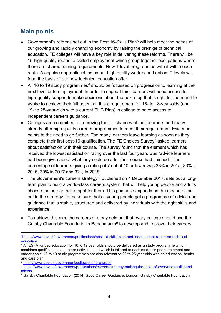#### <span id="page-3-0"></span>**Main points**

- Government's reforms set out in the Post 16-Skills Plan<sup>[5](#page-3-1)</sup> will help meet the needs of our growing and rapidly changing economy by raising the prestige of technical education. FE colleges will have a key role in delivering these reforms. There will be 15 high-quality routes to skilled employment which group together occupations where there are shared training requirements. New T level programmes will sit within each route. Alongside apprenticeships as our high quality work-based option, T levels will form the basis of our new technical education offer.
- All 1[6](#page-3-2) to 19 study programmes $<sup>6</sup>$  should be focussed on progression to learning at the</sup> next level or to employment. In order to support this, learners will need access to high-quality support to make decisions about the next step that is right for them and to aspire to achieve their full potential. It is a requirement for 16- to 18-year-olds (and 19- to 25-year-olds with a current EHC Plan) in college to have access to independent careers guidance.
- Colleges are committed to improving the life chances of their learners and many already offer high quality careers programmes to meet their requirement. Evidence points to the need to go further. Too many learners leave learning as soon as they complete their first post-16 qualification. The FE Choices Survey<sup>[7](#page-3-3)</sup> asked learners about satisfaction with their course. The survey found that the element which has received the lowest satisfaction rating over the last four years was "advice learners had been given about what they could do after their course had finished". The percentage of learners giving a rating of 7 out of 10 or lower was 33% in 2015, 33% in 2016, 30% in 2017 and 32% in 2018.
- The Government's careers strategy<sup>8</sup>, published on 4 December 2017, sets out a longterm plan to build a world-class careers system that will help young people and adults choose the career that is right for them. This guidance expands on the measures set out in the strategy: to make sure that all young people get a programme of advice and guidance that is stable, structured and delivered by individuals with the right skills and experience.
- To achieve this aim, the careers strategy sets out that every college should use the Gatsby Charitable Foundation's Benchmarks $9$  to develop and improve their careers

<span id="page-3-1"></span> <sup>5</sup>https://www.gov.uk/government/publications/post-16-skills-plan-and-independent-report-on-technicaleducation

<span id="page-3-2"></span><sup>&</sup>lt;sup>6</sup> All ESFA funded education for 16 to 19 year olds should be delivered as a study programme which combines qualifications and other activities, and which is tailored to each student's prior attainment and career goals. 16 to 19 study programmes are also relevant to 20 to 25 year olds with an education, health and care plan

<span id="page-3-3"></span><sup>7</sup> <https://www.gov.uk/government/collections/fe-choices>

<span id="page-3-4"></span><sup>8</sup> [https://www.gov.uk/government/publications/careers-strategy-making-the-most-of-everyones-skills-and](https://www.gov.uk/government/publications/careers-strategy-making-the-most-of-everyones-skills-and-talents)[talents](https://www.gov.uk/government/publications/careers-strategy-making-the-most-of-everyones-skills-and-talents)

<span id="page-3-5"></span> $\sqrt[9]{9}$  Gatsby Charitable Foundation (2014) Good Career Guidance. London: Gatsby Charitable Foundation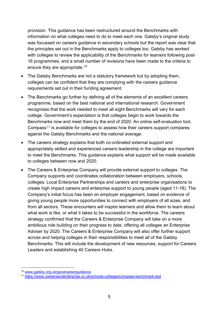provision. This guidance has been restructured around the Benchmarks with information on what colleges need to do to meet each one. Gatsby's original study was focussed on careers guidance in secondary schools but the report was clear that the principles set out in the Benchmarks apply to colleges too. Gatsby has worked with colleges to review the applicability of the Benchmarks for learners following post-16 programmes, and a small number of revisions have been made to the criteria to ensure they are appropriate.[10](#page-4-0)

- The Gatsby Benchmarks are not a statutory framework but by adopting them, colleges can be confident that they are complying with the careers guidance requirements set out in their funding agreement.
- The Benchmarks go further by defining all of the elements of an excellent careers programme, based on the best national and international research. Government recognises that the work needed to meet all eight Benchmarks will vary for each college. Government's expectation is that colleges begin to work towards the Benchmarks now and meet them by the end of 2020. An online self-evaluation tool, Compass<sup>[11](#page-4-1)</sup> is available for colleges to assess how their careers support compares against the Gatsby Benchmarks and the national average.
- The careers strategy explains that both co-ordinated external support and appropriately skilled and experienced careers leadership in the college are important to meet the Benchmarks. This guidance explains what support will be made available to colleges between now and 2020.
- The Careers & Enterprise Company will provide external support to colleges. The Company supports and coordinates collaboration between employers, schools, colleges, Local Enterprise Partnerships and careers and enterprise organisations to create high impact careers and enterprise support to young people (aged 11-18). The Company's initial focus has been on employer engagement, based on evidence of giving young people more opportunities to connect with employers of all sizes, and from all sectors. These encounters will inspire learners and allow them to learn about what work is like, or what it takes to be successful in the workforce. The careers strategy confirmed that the Careers & Enterprise Company will take on a more ambitious role building on their progress to date, offering all colleges an Enterprise Adviser by 2020. The Careers & Enterprise Company will also offer further support across and helping colleges in their responsibilities to meet all of the Gatsby Benchmarks. This will include the development of new resources, support for Careers Leaders and establishing 40 Careers Hubs.

 <sup>10</sup> [www.gatsby.org.uk/goodcareerguidance](http://www.gatsby.org.uk/goodcareerguidance)

<span id="page-4-1"></span><span id="page-4-0"></span><sup>11</sup> <https://www.careersandenterprise.co.uk/schools-colleges/compass-benchmark-tool>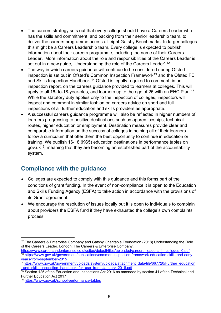- The careers strategy sets out that every college should have a Careers Leader who has the skills and commitment, and backing from their senior leadership team, to deliver the careers programme across all eight Gatsby Benchmarks. In larger colleges this might be a Careers Leadership team. Every college is expected to publish information about their careers programme, including the name of their Careers Leader. More information about the role and responsibilities of the Careers Leader is set out in a new guide, 'Understanding the role of the Careers Leader'.[12](#page-5-1)
- The way in which careers guidance will continue to be considered during Ofsted inspection is set out in Ofsted's Common Inspection Framework<sup>[13](#page-5-2)</sup> and the Ofsted FE and Skills Inspection Handbook.<sup>[14](#page-5-3)</sup> Ofsted is legally required to comment, in an inspection report, on the careers guidance provided to learners at colleges. This will apply to all 16- to-18-year-olds, and learners up to the age of 25 with an EHC Plan.<sup>[15](#page-5-4)</sup> While the statutory duty applies only to the inspection of colleges, inspectors will inspect and comment in similar fashion on careers advice on short and full inspections of all further education and skills providers as appropriate.
- A successful careers guidance programme will also be reflected in higher numbers of learners progressing to positive destinations such as apprenticeships, technical routes, higher education or employment. Destination measures provide clear and comparable information on the success of colleges in helping all of their learners follow a curriculum that offer them the best opportunity to continue in education or training. We publish 16-18 (KS5) education destinations in performance tables on gov.uk<sup>[16](#page-5-5)</sup>, meaning that they are becoming an established part of the accountability system.

#### <span id="page-5-0"></span>**Compliance with the guidance**

- Colleges are expected to comply with this guidance and this forms part of the conditions of grant funding. In the event of non-compliance it is open to the Education and Skills Funding Agency (ESFA) to take action in accordance with the provisions of its Grant agreement.
- We encourage the resolution of issues locally but it is open to individuals to complain about providers the ESFA fund if they have exhausted the college's own complaints process.

<span id="page-5-1"></span><sup>&</sup>lt;sup>12</sup> The Careers & Enterprise Company and Gatsby Charitable Foundation (2018) Understanding the Role of the Careers Leader. London: The Careers & Enterprise Company.

<span id="page-5-2"></span>[https://www.careersandenterprise.co.uk/sites/default/files/uploaded/careers\\_leaders\\_in\\_colleges\\_0.pdf](https://www.careersandenterprise.co.uk/sites/default/files/uploaded/careers_leaders_in_colleges_0.pdf) <sup>13</sup> [https://www.gov.uk/government/publications/common-inspection-framework-education-skills-and-early](https://www.gov.uk/government/publications/common-inspection-framework-education-skills-and-early-years-from-september-2015)[years-from-september-2015](https://www.gov.uk/government/publications/common-inspection-framework-education-skills-and-early-years-from-september-2015)

<span id="page-5-3"></span><sup>1</sup>[4https://www.gov.uk/government/uploads/system/uploads/attachment\\_data/file/667720/Further\\_education](https://www.gov.uk/government/uploads/system/uploads/attachment_data/file/667720/Further_education_and_skills_inspection_handbook_for_use_from_January_2018.pdf) and skills inspection handbook for use from January 2018.pdf

<span id="page-5-4"></span><sup>&</sup>lt;sup>15</sup> Section 125 of the Education and Inspections Act 2016 as amended by section 41 of the Technical and Further Education Act 2017

<span id="page-5-5"></span><sup>16</sup> <https://www.gov.uk/school-performance-tables>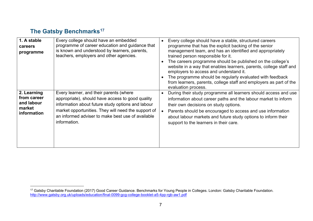## <span id="page-6-1"></span>**The Gatsby Benchmarks[17](#page-6-1)**

| 1. A stable<br>careers<br>programme                               | Every college should have an embedded<br>programme of career education and guidance that<br>is known and understood by learners, parents,<br>teachers, employers and other agencies.                                                                                         | Every college should have a stable, structured careers<br>programme that has the explicit backing of the senior<br>management team, and has an identified and appropriately<br>trained person responsible for it.<br>The careers programme should be published on the college's<br>website in a way that enables learners, parents, college staff and<br>employers to access and understand it.<br>The programme should be regularly evaluated with feedback<br>from learners, parents, college staff and employers as part of the<br>evaluation process. |
|-------------------------------------------------------------------|------------------------------------------------------------------------------------------------------------------------------------------------------------------------------------------------------------------------------------------------------------------------------|-----------------------------------------------------------------------------------------------------------------------------------------------------------------------------------------------------------------------------------------------------------------------------------------------------------------------------------------------------------------------------------------------------------------------------------------------------------------------------------------------------------------------------------------------------------|
| 2. Learning<br>from career<br>and labour<br>market<br>information | Every learner, and their parents (where<br>appropriate), should have access to good quality<br>information about future study options and labour<br>market opportunities. They will need the support of<br>an informed adviser to make best use of available<br>information. | During their study programme all learners should access and use<br>$\bullet$<br>information about career paths and the labour market to inform<br>their own decisions on study options.<br>Parents should be encouraged to access and use information<br>about labour markets and future study options to inform their<br>support to the learners in their care.                                                                                                                                                                                          |

<span id="page-6-0"></span> <sup>17</sup> Gatsby Charitable Foundation (2017) Good Career Guidance. Benchmarks for Young People in Colleges. London: Gatsby Charitable Foundation. <http://www.gatsby.org.uk/uploads/education/final-0099-gcg-college-booklet-a5-4pp-rgb-aw1.pdf>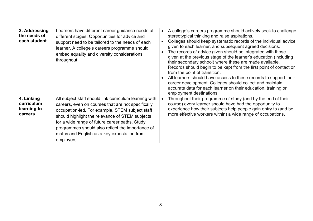| 3. Addressing<br>the needs of<br>each student      | Learners have different career guidance needs at<br>different stages. Opportunities for advice and<br>support need to be tailored to the needs of each<br>learner. A college's careers programme should<br>embed equality and diversity considerations<br>throughout.                                                                                                                 | $\bullet$<br>$\bullet$ | A college's careers programme should actively seek to challenge<br>stereotypical thinking and raise aspirations.<br>Colleges should keep systematic records of the individual advice<br>given to each learner, and subsequent agreed decisions.<br>The records of advice given should be integrated with those<br>given at the previous stage of the learner's education (including<br>their secondary school) where these are made available.<br>Records should begin to be kept from the first point of contact or<br>from the point of transition.<br>All learners should have access to these records to support their<br>career development. Colleges should collect and maintain<br>accurate data for each learner on their education, training or<br>employment destinations. |
|----------------------------------------------------|---------------------------------------------------------------------------------------------------------------------------------------------------------------------------------------------------------------------------------------------------------------------------------------------------------------------------------------------------------------------------------------|------------------------|--------------------------------------------------------------------------------------------------------------------------------------------------------------------------------------------------------------------------------------------------------------------------------------------------------------------------------------------------------------------------------------------------------------------------------------------------------------------------------------------------------------------------------------------------------------------------------------------------------------------------------------------------------------------------------------------------------------------------------------------------------------------------------------|
| 4. Linking<br>curriculum<br>learning to<br>careers | All subject staff should link curriculum learning with<br>careers, even on courses that are not specifically<br>occupation-led. For example, STEM subject staff<br>should highlight the relevance of STEM subjects<br>for a wide range of future career paths. Study<br>programmes should also reflect the importance of<br>maths and English as a key expectation from<br>employers. |                        | Throughout their programme of study (and by the end of their<br>course) every learner should have had the opportunity to<br>experience how their subjects help people gain entry to (and be<br>more effective workers within) a wide range of occupations.                                                                                                                                                                                                                                                                                                                                                                                                                                                                                                                           |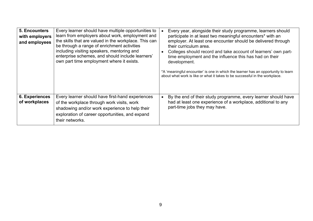| 5. Encounters<br>with employers<br>and employees | Every learner should have multiple opportunities to<br>learn from employers about work, employment and<br>the skills that are valued in the workplace. This can<br>be through a range of enrichment activities<br>including visiting speakers, mentoring and<br>enterprise schemes, and should include learners'<br>own part time employment where it exists. | Every year, alongside their study programme, learners should<br>participate in at least two meaningful encounters* with an<br>employer. At least one encounter should be delivered through<br>their curriculum area.<br>Colleges should record and take account of learners' own part-<br>time employment and the influence this has had on their<br>development.<br>*A 'meaningful encounter' is one in which the learner has an opportunity to learn<br>about what work is like or what it takes to be successful in the workplace. |
|--------------------------------------------------|---------------------------------------------------------------------------------------------------------------------------------------------------------------------------------------------------------------------------------------------------------------------------------------------------------------------------------------------------------------|---------------------------------------------------------------------------------------------------------------------------------------------------------------------------------------------------------------------------------------------------------------------------------------------------------------------------------------------------------------------------------------------------------------------------------------------------------------------------------------------------------------------------------------|
| <b>6. Experiences</b><br>of workplaces           | Every learner should have first-hand experiences<br>of the workplace through work visits, work<br>shadowing and/or work experience to help their<br>exploration of career opportunities, and expand<br>their networks.                                                                                                                                        | By the end of their study programme, every learner should have<br>had at least one experience of a workplace, additional to any<br>part-time jobs they may have.                                                                                                                                                                                                                                                                                                                                                                      |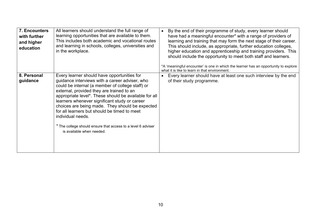| 7. Encounters<br>with further<br>and higher<br>education | All learners should understand the full range of<br>learning opportunities that are available to them.<br>This includes both academic and vocational routes<br>and learning in schools, colleges, universities and<br>in the workplace.                                                                                                                                                                                                                                                                                       | By the end of their programme of study, every learner should<br>$\bullet$<br>have had a meaningful encounter* with a range of providers of<br>learning and training that may form the next stage of their career.<br>This should include, as appropriate, further education colleges,<br>higher education and apprenticeship and training providers. This<br>should include the opportunity to meet both staff and learners.<br>*A 'meaningful encounter' is one in which the learner has an opportunity to explore |
|----------------------------------------------------------|-------------------------------------------------------------------------------------------------------------------------------------------------------------------------------------------------------------------------------------------------------------------------------------------------------------------------------------------------------------------------------------------------------------------------------------------------------------------------------------------------------------------------------|---------------------------------------------------------------------------------------------------------------------------------------------------------------------------------------------------------------------------------------------------------------------------------------------------------------------------------------------------------------------------------------------------------------------------------------------------------------------------------------------------------------------|
| 8. Personal<br>guidance                                  | Every learner should have opportunities for<br>guidance interviews with a career adviser, who<br>could be internal (a member of college staff) or<br>external, provided they are trained to an<br>appropriate level*. These should be available for all<br>learners whenever significant study or career<br>choices are being made. They should be expected<br>for all learners but should be timed to meet<br>individual needs.<br>* The college should ensure that access to a level 6 adviser<br>is available when needed. | what it is like to learn in that environment.<br>Every learner should have at least one such interview by the end<br>$\bullet$<br>of their study programme.                                                                                                                                                                                                                                                                                                                                                         |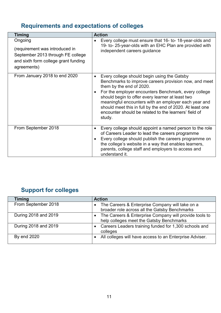# <span id="page-10-0"></span>**Requirements and expectations of colleges**

| <b>Timing</b>                                                                                                                         | <b>Action</b>                                                                                                                                                                                                                                                                                                                                                                                                                                                  |
|---------------------------------------------------------------------------------------------------------------------------------------|----------------------------------------------------------------------------------------------------------------------------------------------------------------------------------------------------------------------------------------------------------------------------------------------------------------------------------------------------------------------------------------------------------------------------------------------------------------|
| Ongoing<br>(requirement was introduced in<br>September 2013 through FE college<br>and sixth form college grant funding<br>agreements) | Every college must ensure that 16- to-18-year-olds and<br>19- to- 25-year-olds with an EHC Plan are provided with<br>independent careers guidance                                                                                                                                                                                                                                                                                                              |
| From January 2018 to end 2020                                                                                                         | Every college should begin using the Gatsby<br>$\bullet$<br>Benchmarks to improve careers provision now, and meet<br>them by the end of 2020.<br>For the employer encounters Benchmark, every college<br>$\bullet$<br>should begin to offer every learner at least two<br>meaningful encounters with an employer each year and<br>should meet this in full by the end of 2020. At least one<br>encounter should be related to the learners' field of<br>study. |
| From September 2018                                                                                                                   | Every college should appoint a named person to the role<br>$\bullet$<br>of Careers Leader to lead the careers programme<br>Every college should publish the careers programme on<br>$\bullet$<br>the college's website in a way that enables learners,<br>parents, college staff and employers to access and<br>understand it.                                                                                                                                 |

# <span id="page-10-1"></span>**Support for colleges**

| <b>Timing</b>        | <b>Action</b>                                                                                                   |
|----------------------|-----------------------------------------------------------------------------------------------------------------|
| From September 2018  | The Careers & Enterprise Company will take on a<br>$\bullet$<br>broader role across all the Gatsby Benchmarks   |
| During 2018 and 2019 | The Careers & Enterprise Company will provide tools to<br>$\bullet$<br>help colleges meet the Gatsby Benchmarks |
| During 2018 and 2019 | Careers Leaders training funded for 1,300 schools and<br>colleges                                               |
| By end 2020          | All colleges will have access to an Enterprise Adviser.                                                         |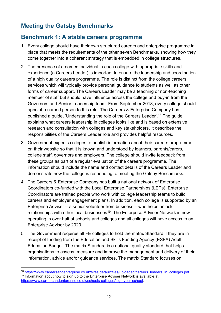#### <span id="page-11-0"></span>**Meeting the Gatsby Benchmarks**

#### <span id="page-11-1"></span>**Benchmark 1: A stable careers programme**

- 1. Every college should have their own structured careers and enterprise programme in place that meets the requirements of the other seven Benchmarks, showing how they come together into a coherent strategy that is embedded in college structures.
- 2. The presence of a named individual in each college with appropriate skills and experience (a Careers Leader) is important to ensure the leadership and coordination of a high quality careers programme. The role is distinct from the college careers services which will typically provide personal guidance to students as well as other forms of career support. The Careers Leader may be a teaching or non-teaching member of staff but should have influence across the college and buy-in from the Governors and Senior Leadership team. From September 2018, every college should appoint a named person to this role. The Careers & Enterprise Company has published a guide, 'Understanding the role of the Careers Leader'. [18](#page-11-2) The guide explains what careers leadership in colleges looks like and is based on extensive research and consultation with colleges and key stakeholders. It describes the responsibilities of the Careers Leader role and provides helpful resources.
- 3. Government expects colleges to publish information about their careers programme on their website so that it is known and understood by learners, parents/carers, college staff, governors and employers. The college should invite feedback from these groups as part of a regular evaluation of the careers programme. The information should include the name and contact details of the Careers Leader and demonstrate how the college is responding to meeting the Gatsby Benchmarks.
- 4. The Careers & Enterprise Company has built a national network of Enterprise Coordinators co-funded with the Local Enterprise Partnerships (LEPs). Enterprise Coordinators are trained people who work with college leadership teams to build careers and employer engagement plans. In addition, each college is supported by an Enterprise Adviser – a senior volunteer from business – who helps unlock relationships with other local businesses<sup>[19](#page-11-3)</sup>. The Enterprise Adviser Network is now operating in over half of schools and colleges and all colleges will have access to an Enterprise Adviser by 2020.
- 5. The Government requires all FE colleges to hold the matrix Standard if they are in receipt of funding from the Education and Skills Funding Agency (ESFA) Adult Education Budget. The matrix Standard is a national quality standard that helps organisations to assess, measure and improve the management and delivery of their information, advice and/or guidance services. The matrix Standard focuses on

<span id="page-11-3"></span><span id="page-11-2"></span><sup>18</sup> [https://www.careersandenterprise.co.uk/sites/default/files/uploaded/careers\\_leaders\\_in\\_colleges.pdf](https://www.careersandenterprise.co.uk/sites/default/files/uploaded/careers_leaders_in_colleges.pdf)  $19$  Information about how to sign up to the Enterprise Adviser Network is available at [https://www.careersandenterprise.co.uk/schools-colleges/sign-your-school.](https://www.careersandenterprise.co.uk/schools-colleges/sign-your-school)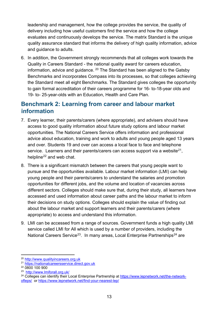leadership and management, how the college provides the service, the quality of delivery including how useful customers find the service and how the college evaluates and continuously develops the service. The matrix Standard is the unique quality assurance standard that informs the delivery of high quality information, advice and guidance to adults.

6. In addition, the Government strongly recommends that all colleges work towards the Quality in Careers Standard - the national quality award for careers education, information, advice and guidance.  $20$  The Standard has been aligned to the Gatsby Benchmarks and incorporates Compass into its processes, so that colleges achieving the Standard meet all eight Benchmarks. The Standard gives colleges the opportunity to gain formal accreditation of their careers programme for 16- to-18-year olds and 19- to- 25-year-olds with an Education, Health and Care Plan.

#### <span id="page-12-0"></span>**Benchmark 2: Learning from career and labour market information**

- 7. Every learner, their parents/carers (where appropriate), and advisers should have access to good quality information about future study options and labour market opportunities. The National Careers Service offers information and professional advice about education, training and work to adults and young people aged 13 years and over. Students 19 and over can access a local face to face and telephone service. Learners and their parents/carers can access support via a website<sup>21</sup>. helpline<sup>[22](#page-12-3)</sup> and web chat.
- 8. There is a significant mismatch between the careers that young people want to pursue and the opportunities available. Labour market information (LMI) can help young people and their parents/carers to understand the salaries and promotion opportunities for different jobs, and the volume and location of vacancies across different sectors. Colleges should make sure that, during their study, all learners have accessed and used information about career paths and the labour market to inform their decisions on study options. Colleges should explain the value of finding out about the labour market and support learners and their parents/carers (where appropriate) to access and understand this information.
- 9. LMI can be accessed from a range of sources. Government funds a high quality LMI service called LMI for All which is used by a number of providers, including the National Careers Service<sup>[23](#page-12-4)</sup>. In many areas, Local Enterprise Partnerships<sup>[24](#page-12-5)</sup> are

<span id="page-12-1"></span> <sup>20</sup> [http://www.qualityincareers.org.uk](http://www.qualityincareers.org.uk/)

<span id="page-12-2"></span><sup>21</sup> [https://nationalcareersservice.direct.gov.uk](https://nationalcareersservice.direct.gov.uk/)

<span id="page-12-3"></span><sup>22</sup> 0800 100 900

<span id="page-12-4"></span><sup>23</sup> <http://www.lmiforall.org.uk/>

<span id="page-12-5"></span><sup>&</sup>lt;sup>24</sup> Colleges can identify their Local Enterprise Partnership at [https://www.lepnetwork.net/the-network](https://www.lepnetwork.net/the-network-ofleps/)[ofleps/](https://www.lepnetwork.net/the-network-ofleps/) or<https://www.lepnetwork.net/find-your-nearest-lep/>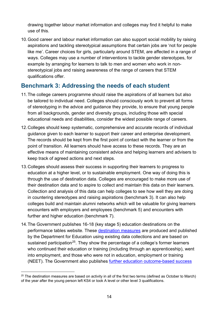drawing together labour market information and colleges may find it helpful to make use of this.

10.Good career and labour market information can also support social mobility by raising aspirations and tackling stereotypical assumptions that certain jobs are 'not for people like me'. Career choices for girls, particularly around STEM, are affected in a range of ways. Colleges may use a number of interventions to tackle gender stereotypes, for example by arranging for learners to talk to men and women who work in nonstereotypical jobs and raising awareness of the range of careers that STEM qualifications offer.

#### <span id="page-13-0"></span>**Benchmark 3: Addressing the needs of each student**

- 11.The college careers programme should raise the aspirations of all learners but also be tailored to individual need. Colleges should consciously work to prevent all forms of stereotyping in the advice and guidance they provide, to ensure that young people from all backgrounds, gender and diversity groups, including those with special educational needs and disabilities, consider the widest possible range of careers.
- 12.Colleges should keep systematic, comprehensive and accurate records of individual guidance given to each learner to support their career and enterprise development. The records should be kept from the first point of contact with the learner or from the point of transition. All learners should have access to these records. They are an effective means of maintaining consistent advice and helping learners and advisers to keep track of agreed actions and next steps.
- 13.Colleges should assess their success in supporting their learners to progress to education at a higher level, or to sustainable employment. One way of doing this is through the use of destination data. Colleges are encouraged to make more use of their destination data and to aspire to collect and maintain this data on their learners. Collection and analysis of this data can help colleges to see how well they are doing in countering stereotypes and raising aspirations (benchmark 3). It can also help colleges build and maintain alumni networks which will be valuable for giving learners encounters with employers and employees (benchmark 5) and encounters with further and higher education (benchmark 7).
- 14.The Government publishes 16-18 (key stage 5) education destinations on the performance tables website. These [destination measures](https://www.gov.uk/government/collections/statistics-destinations) are produced and published by the Department for Education using existing data collections and are based on sustained participation<sup>[25](#page-13-1)</sup>. They show the percentage of a college's former learners who continued their education or training (including through an apprenticeship), went into employment, and those who were not in education, employment or training (NEET). The Government also publishes [further education outcome-based success](https://www.gov.uk/government/statistics/further-education-outcome-based-success-measures-2014-to-2015)

<span id="page-13-1"></span> $25$  The destination measures are based on activity in all of the first two terms (defined as October to March) of the year after the young person left KS4 or took A level or other level 3 qualifications.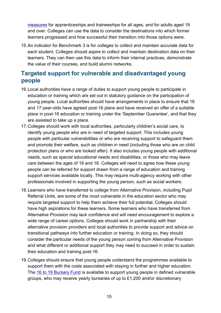[measures](https://www.gov.uk/government/statistics/further-education-outcome-based-success-measures-2014-to-2015) for apprenticeships and traineeships for all ages, and for adults aged 19 and over. Colleges can use the data to consider the destinations into which former learners progressed and how successful their transition into those options were.

15.An indicator for Benchmark 3 is for colleges to collect and maintain accurate data for each student. Colleges should aspire to collect and maintain destination data on their learners. They can then use this data to inform their internal practices, demonstrate the value of their courses, and build alumni networks.

#### <span id="page-14-0"></span>**Targeted support for vulnerable and disadvantaged young people**

- 16.Local authorities have a range of duties to support young people to participate in education or training which are set out in statutory guidance on the participation of young people. Local authorities should have arrangements in place to ensure that 16 and 17-year-olds have agreed post-16 plans and have received an offer of a suitable place in post-16 education or training under the 'September Guarantee', and that they are assisted to take up a place.
- 17.Colleges should work with local authorities, particularly children's social care, to identify young people who are in need of targeted support. This includes young people with particular vulnerabilities or who are receiving support to safeguard them and promote their welfare, such as children in need (including those who are on child protection plans or who are looked after). It also includes young people with additional needs, such as special educational needs and disabilities, or those who may leave care between the ages of 16 and 18. Colleges will need to agree how these young people can be referred for support drawn from a range of education and training support services available locally. This may require multi-agency working with other professionals involved in supporting the young person, such as social workers.
- 18.Learners who have transferred to college from Alternative Provision, including Pupil Referral Units, are some of the most vulnerable in the education sector who may require targeted support to help them achieve their full potential. Colleges should have high aspirations for these learners. Some learners who have transferred from Alternative Provision may lack confidence and will need encouragement to explore a wide range of career options. Colleges should work in partnership with their alternative provision providers and local authorities to provide support and advice on transitional pathways into further education or training. In doing so, they should consider the particular needs of the young person coming from Alternative Provision and what different or additional support they may need to succeed in order to sustain their education and training post-16.
- 19.Colleges should ensure that young people understand the programmes available to support them with the costs associated with staying in further and higher education. The [16 to 19 Bursary Fund](https://www.gov.uk/guidance/16-to-19-bursary-fund-guide-for-2016-to-2017) is available to support young people in defined vulnerable groups, who may receive yearly bursaries of up to £1,200 and/or discretionary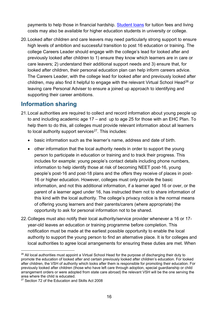payments to help those in financial hardship. [Student loans](https://www.gov.uk/student-finance) for tuition fees and living costs may also be available for higher education students in university or college.

20.Looked after children and care leavers may need particularly strong support to ensure high levels of ambition and successful transition to post 16 education or training. The college Careers Leader should engage with the college's lead for looked after and previously looked after children to 1) ensure they know which learners are in care or care leavers; 2) understand their additional support needs and 3) ensure that, for looked after children, their personal education plan can help inform careers advice. The Careers Leader, with the college lead for looked after and previously looked after children, may also find it helpful to engage with the relevant Virtual School Head<sup>[26](#page-15-1)</sup> or leaving care Personal Adviser to ensure a joined up approach to identifying and supporting their career ambitions.

#### <span id="page-15-0"></span>**Information sharing**

- 21.Local authorities are required to collect and record information about young people up to and including academic age 17 – and up to age 25 for those with an EHC Plan. To help them to do this, all colleges must provide relevant information about all learners to local authority support services<sup>[27](#page-15-2)</sup>. This includes:
	- basic information such as the learner's name, address and date of birth.
	- other information that the local authority needs in order to support the young person to participate in education or training and to track their progress. This includes for example: young people's contact details including phone numbers, information to help identify those at risk of becoming NEET post-16, young people's post-16 and post-18 plans and the offers they receive of places in post-16 or higher education. However, colleges must only provide the basic information, and not this additional information, if a learner aged 16 or over, or the parent of a learner aged under 16, has instructed them not to share information of this kind with the local authority. The college's privacy notice is the normal means of offering young learners and their parents/carers (where appropriate) the opportunity to ask for personal information not to be shared.
- 22.Colleges must also notify their local authority/service provider whenever a 16 or 17 year-old leaves an education or training programme before completion. This notification must be made at the earliest possible opportunity to enable the local authority to support the young person to find an alternative place. It is for colleges and local authorities to agree local arrangements for ensuring these duties are met. When

<span id="page-15-1"></span><sup>&</sup>lt;sup>26</sup> All local authorities must appoint a Virtual School Head for the purpose of discharging their duty to promote the education of looked after and certain previously looked after children's education. For looked after children, the VSH of authority which looks after them is responsible for promoting their education. For previously looked after children (those who have left care through adoption, special guardianship or child arrangement orders or were adopted from state care abroad) the relevant VSH will be the one serving the area where the child is educated.

<span id="page-15-2"></span><sup>27</sup> Section 72 of the Education and Skills Act 2008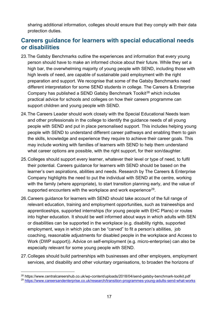sharing additional information, colleges should ensure that they comply with their data protection duties.

#### <span id="page-16-0"></span>**Careers guidance for learners with special educational needs or disabilities**

- 23.The Gatsby Benchmarks outline the experiences and information that every young person should have to make an informed choice about their future. While they set a high bar, the overwhelming majority of young people with SEND, including those with high levels of need, are capable of sustainable paid employment with the right preparation and support. We recognise that some of the Gatsby Benchmarks need different interpretation for some SEND students in college. The Careers & Enterprise Company has published a SEND Gatsby Benchmark Toolkit<sup>[28](#page-16-1)</sup> which includes practical advice for schools and colleges on how their careers programme can support children and young people with SEND.
- 24.The Careers Leader should work closely with the Special Educational Needs team and other professionals in the college to identify the guidance needs of all young people with SEND and put in place personalised support. This includes helping young people with SEND to understand different career pathways and enabling them to gain the skills, knowledge and experience they require to achieve their career goals. This may include working with families of learners with SEND to help them understand what career options are possible, with the right support, for their son/daughter.
- 25.Colleges should support every learner, whatever their level or type of need, to fulfil their potential. Careers guidance for learners with SEND should be based on the learner's own aspirations, abilities and needs. Research by The Careers & Enterprise Company highlights the need to put the individual with SEND at the centre, working with the family (where appropriate), to start transition planning early, and the value of supported encounters with the workplace and work experience<sup>[29](#page-16-2)</sup>.
- 26.Careers guidance for learners with SEND should take account of the full range of relevant education, training and employment opportunities, such as traineeships and apprenticeships, supported internships (for young people with EHC Plans) or routes into higher education. It should be well informed about ways in which adults with SEN or disabilities can be supported in the workplace (e.g. disability rights, supported employment, ways in which jobs can be "carved" to fit a person's abilities, job coaching, reasonable adjustments for disabled people in the workplace and Access to Work (DWP support)). Advice on self-employment (e.g. micro-enterprise) can also be especially relevant for some young people with SEND.
- 27. Colleges should build partnerships with businesses and other employers, employment services, and disability and other voluntary organisations, to broaden the horizons of

<span id="page-16-1"></span> <sup>28</sup> https://www.centralcareershub.co.uk/wp-content/uploads/2018/04/send-gatsby-benchmark-toolkit.pdf

<span id="page-16-2"></span><sup>29</sup> <https://www.careersandenterprise.co.uk/research/transition-programmes-young-adults-send-what-works>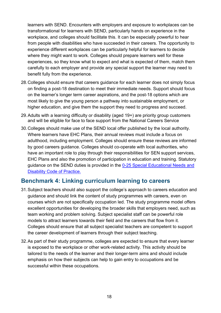learners with SEND. Encounters with employers and exposure to workplaces can be transformational for learners with SEND, particularly hands on experience in the workplace, and colleges should facilitate this. It can be especially powerful to hear from people with disabilities who have succeeded in their careers. The opportunity to experience different workplaces can be particularly helpful for learners to decide where they might want to work. Colleges should prepare learners well for these experiences, so they know what to expect and what is expected of them, match them carefully to each employer and provide any special support the learner may need to benefit fully from the experience.

- 28.Colleges should ensure that careers guidance for each learner does not simply focus on finding a post-18 destination to meet their immediate needs. Support should focus on the learner's longer term career aspirations, and the post-18 options which are most likely to give the young person a pathway into sustainable employment, or higher education, and give them the support they need to progress and succeed.
- 29.Adults with a learning difficulty or disability (aged 19+) are priority group customers and will be eligible for face to face support from the National Careers Service
- 30.Colleges should make use of the SEND local offer published by the local authority. Where learners have EHC Plans, their annual reviews must include a focus on adulthood, including employment. Colleges should ensure these reviews are informed by good careers guidance. Colleges should co-operate with local authorities, who have an important role to play through their responsibilities for SEN support services, EHC Plans and also the promotion of participation in education and training. Statutory guidance on the SEND duties is provided in the [0-25 Special Educational Needs and](https://www.gov.uk/government/publications/send-code-of-practice-0-to-25)  [Disability Code of Practice.](https://www.gov.uk/government/publications/send-code-of-practice-0-to-25)

#### <span id="page-17-0"></span>**Benchmark 4: Linking curriculum learning to careers**

- 31.Subject teachers should also support the college's approach to careers education and guidance and should link the content of study programmes with careers, even on courses which are not specifically occupation led. The study programme model offers excellent opportunities for developing the broader skills that employers need, such as team working and problem solving. Subject specialist staff can be powerful role models to attract learners towards their field and the careers that flow from it. Colleges should ensure that all subject specialist teachers are competent to support the career development of learners through their subject teaching.
- 32.As part of their study programme, colleges are expected to ensure that every learner is exposed to the workplace or other work-related activity. This activity should be tailored to the needs of the learner and their longer-term aims and should include emphasis on how their subjects can help to gain entry to occupations and be successful within these occupations.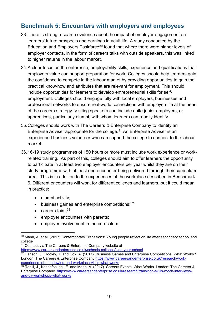#### <span id="page-18-0"></span>**Benchmark 5: Encounters with employers and employees**

- 33.There is strong research evidence about the impact of employer engagement on learners' future prospects and earnings in adult life. A study conducted by the Education and Employers Taskforce<sup>[30](#page-18-1)</sup> found that where there were higher levels of employer contacts, in the form of careers talks with outside speakers, this was linked to higher returns in the labour market.
- 34.A clear focus on the enterprise, employability skills, experience and qualifications that employers value can support preparation for work. Colleges should help learners gain the confidence to compete in the labour market by providing opportunities to gain the practical know-how and attributes that are relevant for employment. This should include opportunities for learners to develop entrepreneurial skills for selfemployment. Colleges should engage fully with local employers, businesses and professional networks to ensure real-world connections with employers lie at the heart of the careers strategy. Visiting speakers can include quite junior employers, or apprentices, particularly alumni, with whom learners can readily identify.
- 35.Colleges should work with The Careers & Enterprise Company to identify an Enterprise Adviser appropriate for the college.<sup>[31](#page-18-2)</sup> An Enterprise Adviser is an experienced business volunteer who can support the college to connect to the labour market.
- 36.16-19 study programmes of 150 hours or more must include work experience or workrelated training. As part of this, colleges should aim to offer learners the opportunity to participate in at least two employer encounters per year whilst they are on their study programme with at least one encounter being delivered through their curriculum area. This is in addition to the experiences of the workplace described in Benchmark 6. Different encounters will work for different colleges and learners, but it could mean in practice:
	- alumni activity;
	- $\bullet$  business games and enterprise competitions;  $32$
	- careers fairs;<sup>[33](#page-18-4)</sup>
	- employer encounters with parents;
	- employer involvement in the curriculum;

<span id="page-18-1"></span><sup>&</sup>lt;sup>30</sup> Mann, A. et al. (2017) Contemporary Transitions: Young people reflect on life after secondary school and college

<span id="page-18-2"></span><sup>&</sup>lt;sup>31</sup> Connect via The Careers & Enterprise Company website at <https://www.careersandenterprise.co.uk/schools-colleges/sign-your-school>

<span id="page-18-3"></span><sup>32</sup> Hanson, J., Hooley, T. and Cox, A. (2017). Business Games and Enterprise Competitions. What Works? London: The Careers & Enterprise Company [https://www.careersandenterprise.co.uk/research/work](https://www.careersandenterprise.co.uk/research/work-experience-job-shadowing-and-workplace-visits-what-works)[experience-job-shadowing-and-workplace-visits-what-works](https://www.careersandenterprise.co.uk/research/work-experience-job-shadowing-and-workplace-visits-what-works)

<span id="page-18-4"></span><sup>33</sup> Rehill, J., Kashefpakdel, E. and Mann, A. (2017). Careers Events. What Works. London: The Careers & Enterprise Company. [https://www.careersandenterprise.co.uk/research/transition-skills-mock-interviews](https://www.careersandenterprise.co.uk/research/transition-skills-mock-interviews-and-cv-workshops-what-works)[and-cv-workshops-what-works](https://www.careersandenterprise.co.uk/research/transition-skills-mock-interviews-and-cv-workshops-what-works)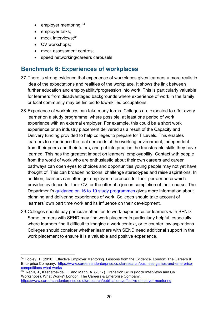- employer mentoring;<sup>[34](#page-19-1)</sup>
- employer talks;
- mock interviews;<sup>[35](#page-19-2)</sup>
- CV workshops;
- mock assessment centres:
- speed networking/careers carousels

#### <span id="page-19-0"></span>**Benchmark 6: Experiences of workplaces**

- 37.There is strong evidence that experience of workplaces gives learners a more realistic idea of the expectations and realities of the workplace. It shows the link between further education and employability/progression into work. This is particularly valuable for learners from disadvantaged backgrounds where experience of work in the family or local community may be limited to low-skilled occupations.
- 38.Experience of workplaces can take many forms. Colleges are expected to offer every learner on a study programme, where possible, at least one period of work experience with an external employer. For example, this could be a short work experience or an industry placement delivered as a result of the Capacity and Delivery funding provided to help colleges to prepare for T Levels. This enables learners to experience the real demands of the working environment, independent from their peers and their tutors, and put into practice the transferable skills they have learned. This has the greatest impact on learners' employability. Contact with people from the world of work who are enthusiastic about their own careers and career pathways can open eyes to choices and opportunities young people may not yet have thought of. This can broaden horizons, challenge stereotypes and raise aspirations. In addition, learners can often get employer references for their performance which provides evidence for their CV, or the offer of a job on completion of their course. The Department's [guidance on 16 to 19 study programmes](https://www.gov.uk/government/publications/16-to-19-study-programmes-guide-for-providers) gives more information about planning and delivering experiences of work. Colleges should take account of learners' own part time work and its influence on their development.
- 39.Colleges should pay particular attention to work experience for learners with SEND. Some learners with SEND may find work placements particularly helpful, especially where learners find it difficult to imagine a work context, or to counter low aspirations. Colleges should consider whether learners with SEND need additional support in the work placement to ensure it is a valuable and positive experience.

<span id="page-19-2"></span> $\overline{35}$  Rehill, J., Kashefpakdel, E. and Mann, A. (2017). Transition Skills (Mock Interviews and CV Workshops). What Works? London: The Careers & Enterprise Company. <https://www.careersandenterprise.co.uk/research/publications/effective-employer-mentoring>

<span id="page-19-1"></span> <sup>34</sup> Hooley, T. (2016). Effective Employer Mentoring. Lessons from the Evidence. London: The Careers & Enterprise Company. [https://www.careersandenterprise.co.uk/research/business-games-and-enterprise](https://www.careersandenterprise.co.uk/research/business-games-and-enterprise-competitions-what-works)[competitions-what-works](https://www.careersandenterprise.co.uk/research/business-games-and-enterprise-competitions-what-works)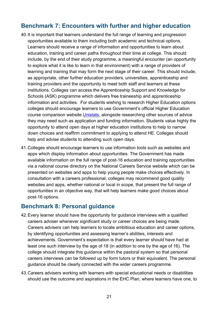#### <span id="page-20-0"></span>**Benchmark 7: Encounters with further and higher education**

- 40.It is important that learners understand the full range of learning and progression opportunities available to them including both academic and technical options. Learners should receive a range of information and opportunities to learn about education, training and career paths throughout their time at college. This should include, by the end of their study programme, a meaningful encounter (an opportunity to explore what it is like to learn in that environment) with a range of providers of learning and training that may form the next stage of their career. This should include, as appropriate, other further education providers, universities, apprenticeship and training providers and the opportunity to meet both staff and learners at these institutions. Colleges can access the Apprenticeship Support and Knowledge for Schools (ASK) programme which delivers free traineeship and apprenticeship information and activities. For students wishing to research Higher Education options colleges should encourage learners to use Government's official Higher Education course comparison website [Unistats,](https://unistats.ac.uk/) alongside researching other sources of advice they may need such as application and funding information. Students value highly the opportunity to attend open days at higher education institutions to help to narrow down choices and reaffirm commitment to applying to attend HE. Colleges should help and advise students to attending such open days.
- 41.Colleges should encourage learners to use information tools such as websites and apps which display information about opportunities. The Government has made available information on the full range of post-16 education and training opportunities via a national course directory on the National Careers Service website which can be presented on websites and apps to help young people make choices effectively. In consultation with a careers professional, colleges may recommend good quality websites and apps, whether national or local in scope, that present the full range of opportunities in an objective way, that will help learners make good choices about post-16 options.

#### <span id="page-20-1"></span>**Benchmark 8: Personal guidance**

- 42.Every learner should have the opportunity for guidance interviews with a qualified careers adviser whenever significant study or career choices are being made. Careers advisers can help learners to locate ambitious education and career options, by identifying opportunities and assessing learner's abilities, interests and achievements. Government's expectation is that every learner should have had at least one such interview by the age of 18 (in addition to one by the age of 16). The college should integrate this guidance within the pastoral system so that personal careers interviews can be followed up by form tutors or their equivalent. The personal guidance should be clearly connected with the wider careers programme.
- 43.Careers advisers working with learners with special educational needs or disabilities should use the outcome and aspirations in the EHC Plan, where learners have one, to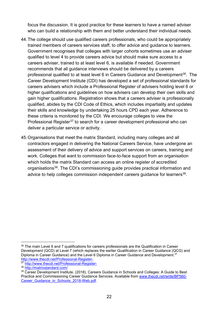focus the discussion. It is good practice for these learners to have a named adviser who can build a relationship with them and better understand their individual needs.

- 44.The college should use qualified careers professionals, who could be appropriately trained members of careers services staff, to offer advice and guidance to learners. Government recognises that colleges with larger cohorts sometimes use an adviser qualified to level 4 to provide careers advice but should make sure access to a careers adviser, trained to at least level 6, is available if needed. Government recommends that all guidance interviews should be delivered by a careers professional qualified to at least level 6 in Careers Guidance and Development<sup>[36](#page-21-0)</sup>. The Career Development Institute (CDI) has developed a set of professional standards for careers advisers which include a Professional Register of advisers holding level 6 or higher qualifications and guidelines on how advisers can develop their own skills and gain higher qualifications. Registration shows that a careers adviser is professionally qualified, abides by the CDI Code of Ethics, which includes impartiality and updates their skills and knowledge by undertaking 25 hours CPD each year. Adherence to these criteria is monitored by the CDI. We encourage colleges to view the Professional Register<sup>[37](#page-21-1)</sup> to search for a career development professional who can deliver a particular service or activity.
- 45.Organisations that meet the matrix Standard, including many colleges and all contractors engaged in delivering the National Careers Service, have undergone an assessment of their delivery of advice and support services on careers, training and work. Colleges that want to commission face-to-face support from an organisation which holds the matrix Standard can access an online register of accredited organisations<sup>[38](#page-21-2)</sup>. The CDI's commissioning guide provides practical information and advice to help colleges commission independent careers guidance for learners<sup>39</sup>.

<span id="page-21-0"></span><sup>&</sup>lt;sup>36</sup> The main Level 6 and 7 qualifications for careers professionals are the Qualification in Career Development (QCD) at Level 7 (which replaces the earlier Qualification in Career Guidance (QCG) and Diploma in Career Guidance) and the Level 6 Diploma in Career Guidance and Development.<sup>37</sup> <http://www.thecdi.net/Professional-Register->

<span id="page-21-1"></span><sup>37</sup> <http://www.thecdi.net/Professional-Register->

<span id="page-21-2"></span><sup>38</sup> <http://matrixstandard.com/>

<span id="page-21-3"></span><sup>&</sup>lt;sup>39</sup> Career Development Institute. (2018). Careers Guidance in Schools and Colleges: A Guide to Best Practice and Commissioning Career Guidance Services. Available from [www.thecdi.net/write/BP560-](http://www.thecdi.net/write/BP560-Career_Guidance_in_Schools_2018-Web.pdf) Career Guidance in Schools 2018-Web.pdf.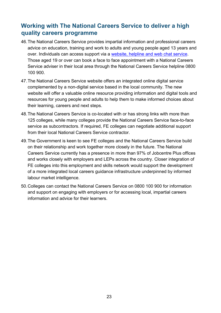#### <span id="page-22-0"></span>**Working with The National Careers Service to deliver a high quality careers programme**

- 46.The National Careers Service provides impartial information and professional careers advice on education, training and work to adults and young people aged 13 years and over. Individuals can access support via a [website, helpline and web chat service.](http://www.nationalcareersservice.direct.gov.uk/) Those aged 19 or over can book a face to face appointment with a National Careers Service adviser in their local area through the National Careers Service helpline 0800 100 900.
- 47.The National Careers Service website offers an integrated online digital service complemented by a non-digital service based in the local community. The new website will offer a valuable online resource providing information and digital tools and resources for young people and adults to help them to make informed choices about their learning, careers and next steps.
- 48.The National Careers Service is co-located with or has strong links with more than 125 colleges, while many colleges provide the National Careers Service face-to-face service as subcontractors. If required, FE colleges can negotiate additional support from their local National Careers Service contractor.
- 49.The Government is keen to see FE colleges and the National Careers Service build on their relationship and work together more closely in the future. The National Careers Service currently has a presence in more than 97% of Jobcentre Plus offices and works closely with employers and LEPs across the country. Closer integration of FE colleges into this employment and skills network would support the development of a more integrated local careers guidance infrastructure underpinned by informed labour market intelligence.
- 50.Colleges can contact the National Careers Service on 0800 100 900 for information and support on engaging with employers or for accessing local, impartial careers information and advice for their learners.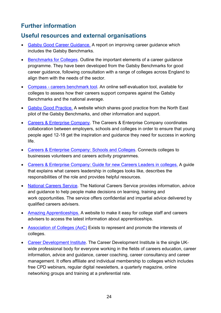#### <span id="page-23-0"></span>**Further information**

#### <span id="page-23-1"></span>**Useful resources and external organisations**

- [Gatsby Good Career Guidance.](http://www.gatsby.org.uk/goodcareerguidance) A report on improving career guidance which includes the Gatsby Benchmarks.
- [Benchmarks for Colleges.](http://www.gatsby.org.uk/goodcareerguidance) Outline the important elements of a career guidance programme. They have been developed from the Gatsby Benchmarks for good career guidance, following consultation with a range of colleges across England to align them with the needs of the sector.
- Compass [careers benchmark tool.](https://www.careersandenterprise.co.uk/schools-colleges/compass-benchmark-tool) An online self-evaluation tool, available for colleges to assess how their careers support compares against the Gatsby Benchmarks and the national average.
- [Gatsby Good Practice.](http://www.goodcareerguidance.org.uk/) A website which shares good practice from the North East pilot of the Gatsby Benchmarks, and other information and support.
- [Careers & Enterprise Company.](https://www.careersandenterprise.co.uk/) The Careers & Enterprise Company coordinates collaboration between employers, schools and colleges in order to ensure that young people aged 12-18 get the inspiration and guidance they need for success in working life.
- [Careers & Enterprise Company: Schools and Colleges.](http://www.careersandenterprise.co.uk/schools-colleges) Connects colleges to businesses volunteers and careers activity programmes.
- [Careers & Enterprise Company: Guide for new Careers Leaders in colleges.](https://www.careersandenterprise.co.uk/sites/default/files/uploaded/careers_leaders_in_colleges.pdf) A guide that explains what careers leadership in colleges looks like, describes the responsibilities of the role and provides helpful resources.
- [National Careers Service.](https://nationalcareersservice.direct.gov.uk/Pages/Home.aspx) The National Careers Service provides information, advice and guidance to help people make decisions on learning, training and work opportunities. The service offers confidential and impartial advice delivered by qualified careers advisers.
- [Amazing Apprenticeships.](http://amazingapprenticeships.com/) A website to make it easy for college staff and careers advisers to access the latest information about apprenticeships.
- Association [of Colleges \(AoC\)](http://www.aoc.co.uk/) Exists to represent and promote the interests of colleges.
- [Career Development Institute.](http://www.thecdi.net/) The Career Development Institute is the single UKwide professional body for everyone working in the fields of careers education, career information, advice and guidance, career coaching, career consultancy and career management. It offers affiliate and individual membership to colleges which includes free CPD webinars, regular digital newsletters, a quarterly magazine, online networking groups and training at a preferential rate.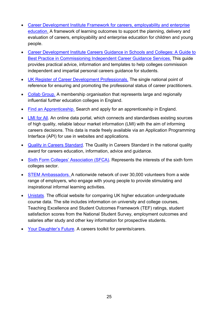- Career Development Institute Framework for careers, employability and enterprise [education.](http://www.thecdi.net/write/Framework/BP385-CDI_Framework-v7.pdf) A framework of learning outcomes to support the planning, delivery and evaluation of careers, employability and enterprise education for children and young people.
- [Career Development Institute Careers Guidance in Schools and Colleges: A Guide to](http://www.thecdi.net/write/BP560-Career_Guidance_in_Schools_2018-Web.pdf)  [Best Practice in Commissioning Independent Career](http://www.thecdi.net/write/BP560-Career_Guidance_in_Schools_2018-Web.pdf) Guidance Services. This guide provides practical advice, information and templates to help colleges commission independent and impartial personal careers guidance for students.
- [UK Register of Career Development Professionals.](http://www.thecdi.net/Professional-Register-) The single national point of reference for ensuring and promoting the professional status of career practitioners.
- [Collab Group.](http://www.collabgroup.co.uk/) [A](http://www.157group.co.uk/) membership organisation that represents large and regionally influential further education colleges in England.
- [Find an Apprenticeship.](https://www.findapprenticeship.service.gov.uk/apprenticeshipsearch) Search and apply for an apprenticeship in England.
- [LMI for All.](http://www.lmiforall.org.uk/) An online data portal, which connects and standardises existing sources of high quality, reliable labour market information (LMI) with the aim of informing careers decisions. This data is made freely available via an Application Programming Interface (API) for use in websites and applications.
- [Quality in Careers Standard.](http://www.qualityincareers.org.uk/) The Quality in Careers Standard in the national quality award for careers education, information, advice and guidance.
- [Sixth Form Colleges' Association \(SFCA\).](http://www.sixthformcolleges.org/about-us) Represents the interests of the sixth form colleges sector.
- [STEM Ambassadors.](https://www.stem.org.uk/stem-ambassadors/ambassadors) A nationwide network of over 30,000 volunteers from a wide range of employers, who engage with young people to provide stimulating and inspirational informal learning activities.
- [Unistats.](https://unistats.ac.uk/) The official website for comparing UK higher education undergraduate course data. The site includes information on university and college courses, Teaching Excellence and Student Outcomes Framework (TEF) ratings, student satisfaction scores from the National Student Survey, employment outcomes and salaries after study and other key information for prospective students.
- [Your Daughter's Future.](https://www.pshe-association.org.uk/sites/default/files/Your%20Daughters%20Future.pdf) A careers toolkit for parents/carers.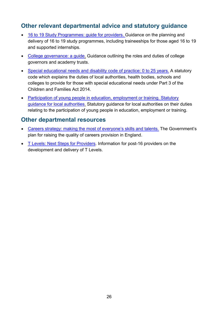#### <span id="page-25-0"></span>**Other relevant departmental advice and statutory guidance**

- [16 to 19 Study Programmes: guide for providers. G](https://www.gov.uk/government/publications/16-to-19-study-programmes-guide-for-providers)uidance on the planning and delivery of 16 to 19 study programmes, including traineeships for those aged 16 to 19 and supported internships.
- [College governance: a guide.](https://www.gov.uk/government/publications/college-governance-how-further-education-colleges-operate) Guidance outlining the roles and duties of college governors and academy trusts.
- [Special educational needs and disability](https://www.gov.uk/government/publications/send-code-of-practice-0-to-25) code of practice: 0 to 25 years. A statutory code which explains the duties of local authorities, health bodies, schools and colleges to provide for those with special educational needs under Part 3 of the Children and Families Act 2014.
- [Participation of young people in education, employment or training. Statutory](https://www.gov.uk/government/publications/participation-of-young-people-education-employment-and-training)  [guidance for local authorities.](https://www.gov.uk/government/publications/participation-of-young-people-education-employment-and-training) Statutory guidance for local authorities on their duties relating to the participation of young people in education, employment or training.

#### <span id="page-25-1"></span>**Other departmental resources**

- [Careers strategy: making the most of everyone's skills and talents.](https://www.gov.uk/government/publications/careers-strategy-making-the-most-of-everyones-skills-and-talents) The Government's plan for raising the quality of careers provision in England.
- [T Levels: Next Steps for Providers.](https://www.gov.uk/guidance/t-levels-next-steps-for-providers) Information for post-16 providers on the development and delivery of T Levels.